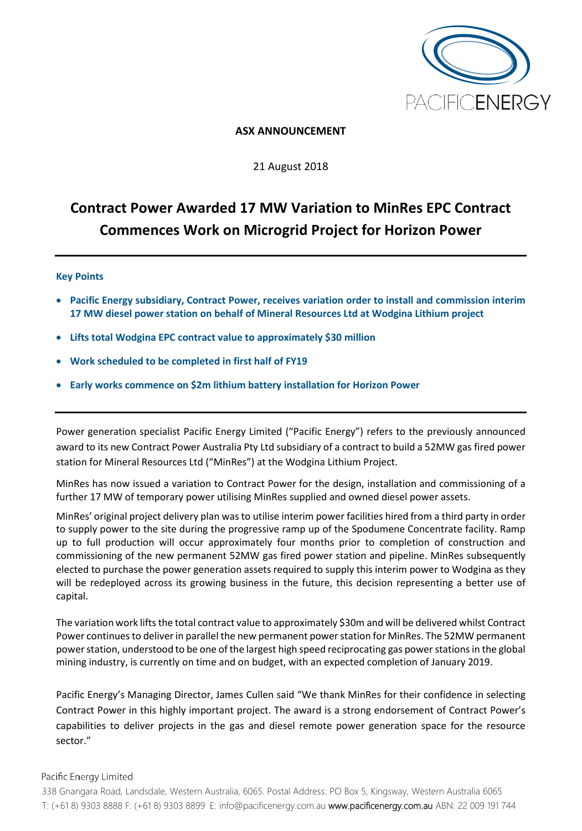

## **ASX ANNOUNCEMENT**

### 21 August 2018

# **Contract Power Awarded 17 MW Variation to MinRes EPC Contract Commences Work on Microgrid Project for Horizon Power**

### **Key Points**

- **Pacific Energy subsidiary, Contract Power, receives variation order to install and commission interim 17 MW diesel power station on behalf of Mineral Resources Ltd at Wodgina Lithium project**
- **Lifts total Wodgina EPC contract value to approximately \$30 million**
- **Work scheduled to be completed in first half of FY19**
- **Early works commence on \$2m lithium battery installation for Horizon Power**

Power generation specialist Pacific Energy Limited ("Pacific Energy") refers to the previously announced award to its new Contract Power Australia Pty Ltd subsidiary of a contract to build a 52MW gas fired power station for Mineral Resources Ltd ("MinRes") at the Wodgina Lithium Project.

MinRes has now issued a variation to Contract Power for the design, installation and commissioning of a further 17 MW of temporary power utilising MinRes supplied and owned diesel power assets.

MinRes' original project delivery plan was to utilise interim power facilities hired from a third party in order to supply power to the site during the progressive ramp up of the Spodumene Concentrate facility. Ramp up to full production will occur approximately four months prior to completion of construction and commissioning of the new permanent 52MW gas fired power station and pipeline. MinRes subsequently elected to purchase the power generation assets required to supply this interim power to Wodgina as they will be redeployed across its growing business in the future, this decision representing a better use of capital.

The variation work lifts the total contract value to approximately \$30m and will be delivered whilst Contract Power continues to deliver in parallel the new permanent power station for MinRes. The 52MW permanent power station, understood to be one of the largest high speed reciprocating gas power stations in the global mining industry, is currently on time and on budget, with an expected completion of January 2019.

Pacific Energy's Managing Director, James Cullen said "We thank MinRes for their confidence in selecting Contract Power in this highly important project. The award is a strong endorsement of Contract Power's capabilities to deliver projects in the gas and diesel remote power generation space for the resource sector."

### Pacific Energy Limited

338 Gnangara Road, Landsdale, Western Australia, 6065. Postal Address: PO Box 5, Kingsway, Western Australia 6065 T: (+61 8) 9303 8888 F: (+61 8) 9303 8899 E: [info@pacificenergy.com.au](mailto:info@pacificenergy.com.au) www.pacificenergy.com.au ABN: 22 009 191 744